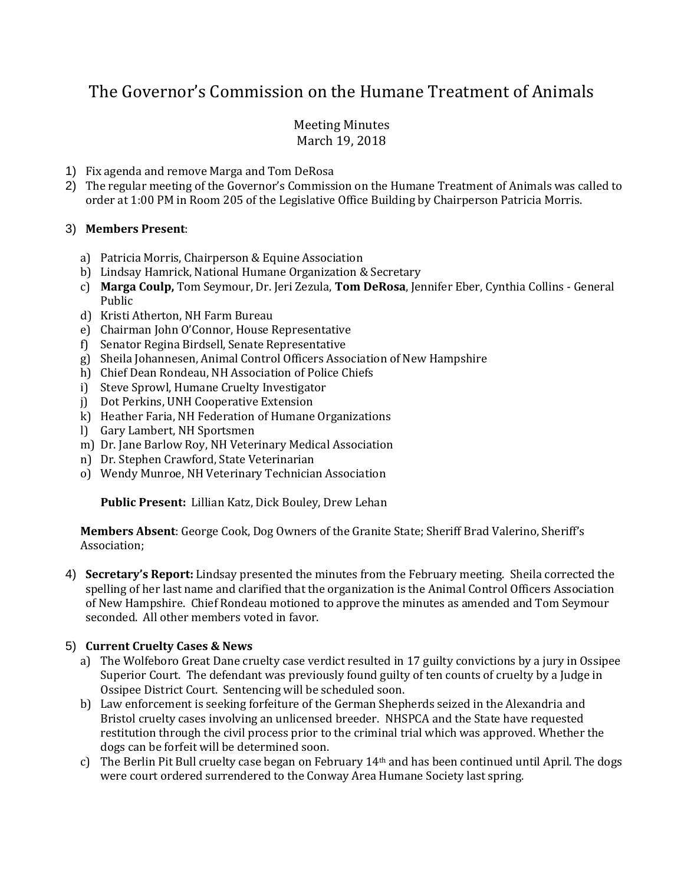# The Governor's Commission on the Humane Treatment of Animals

# Meeting Minutes March 19, 2018

- 1) Fix agenda and remove Marga and Tom DeRosa
- 2) The regular meeting of the Governor's Commission on the Humane Treatment of Animals was called to order at 1:00 PM in Room 205 of the Legislative Office Building by Chairperson Patricia Morris.

#### 3) **Members Present**:

- a) Patricia Morris, Chairperson & Equine Association
- b) Lindsay Hamrick, National Humane Organization & Secretary
- c) **Marga Coulp,** Tom Seymour, Dr. Jeri Zezula, **Tom DeRosa**, Jennifer Eber, Cynthia Collins General Public
- d) Kristi Atherton, NH Farm Bureau
- e) Chairman John O'Connor, House Representative
- f) Senator Regina Birdsell, Senate Representative
- g) Sheila Johannesen, Animal Control Officers Association of New Hampshire
- h) Chief Dean Rondeau, NH Association of Police Chiefs
- i) Steve Sprowl, Humane Cruelty Investigator
- j) Dot Perkins, UNH Cooperative Extension
- k) Heather Faria, NH Federation of Humane Organizations
- l) Gary Lambert, NH Sportsmen
- m) Dr. Jane Barlow Roy, NH Veterinary Medical Association
- n) Dr. Stephen Crawford, State Veterinarian
- o) Wendy Munroe, NH Veterinary Technician Association

**Public Present:** Lillian Katz, Dick Bouley, Drew Lehan

**Members Absent**: George Cook, Dog Owners of the Granite State; Sheriff Brad Valerino, Sheriff's Association;

4) **Secretary's Report:** Lindsay presented the minutes from the February meeting. Sheila corrected the spelling of her last name and clarified that the organization is the Animal Control Officers Association of New Hampshire. Chief Rondeau motioned to approve the minutes as amended and Tom Seymour seconded. All other members voted in favor.

## 5) **Current Cruelty Cases & News**

- a) The Wolfeboro Great Dane cruelty case verdict resulted in 17 guilty convictions by a jury in Ossipee Superior Court. The defendant was previously found guilty of ten counts of cruelty by a Judge in Ossipee District Court. Sentencing will be scheduled soon.
- b) Law enforcement is seeking forfeiture of the German Shepherds seized in the Alexandria and Bristol cruelty cases involving an unlicensed breeder. NHSPCA and the State have requested restitution through the civil process prior to the criminal trial which was approved. Whether the dogs can be forfeit will be determined soon.
- c) The Berlin Pit Bull cruelty case began on February 14th and has been continued until April. The dogs were court ordered surrendered to the Conway Area Humane Society last spring.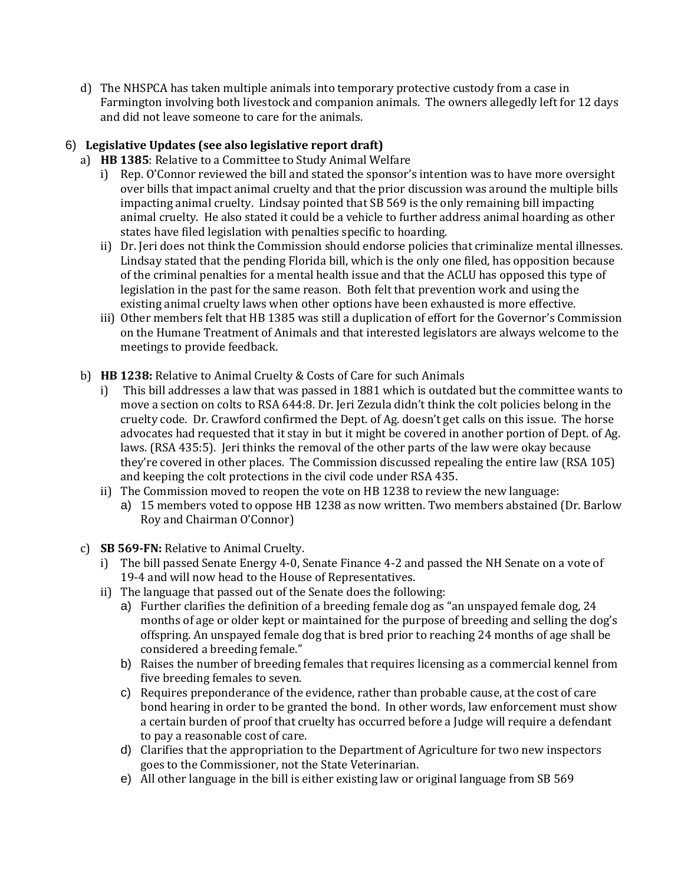d) The NHSPCA has taken multiple animals into temporary protective custody from a case in Farmington involving both livestock and companion animals. The owners allegedly left for 12 days and did not leave someone to care for the animals.

## 6) **Legislative Updates (see also legislative report draft)**

- a) **HB 1385**: Relative to a Committee to Study Animal Welfare
	- i) Rep. O'Connor reviewed the bill and stated the sponsor's intention was to have more oversight over bills that impact animal cruelty and that the prior discussion was around the multiple bills impacting animal cruelty. Lindsay pointed that SB 569 is the only remaining bill impacting animal cruelty. He also stated it could be a vehicle to further address animal hoarding as other states have filed legislation with penalties specific to hoarding.
	- ii) Dr. Jeri does not think the Commission should endorse policies that criminalize mental illnesses. Lindsay stated that the pending Florida bill, which is the only one filed, has opposition because of the criminal penalties for a mental health issue and that the ACLU has opposed this type of legislation in the past for the same reason. Both felt that prevention work and using the existing animal cruelty laws when other options have been exhausted is more effective.
	- iii) Other members felt that HB 1385 was still a duplication of effort for the Governor's Commission on the Humane Treatment of Animals and that interested legislators are always welcome to the meetings to provide feedback.
- b) **HB 1238:** Relative to Animal Cruelty & Costs of Care for such Animals
	- i) This bill addresses a law that was passed in 1881 which is outdated but the committee wants to move a section on colts to RSA 644:8. Dr. Jeri Zezula didn't think the colt policies belong in the cruelty code. Dr. Crawford confirmed the Dept. of Ag. doesn't get calls on this issue. The horse advocates had requested that it stay in but it might be covered in another portion of Dept. of Ag. laws. (RSA 435:5). Jeri thinks the removal of the other parts of the law were okay because they're covered in other places. The Commission discussed repealing the entire law (RSA 105) and keeping the colt protections in the civil code under RSA 435.
	- ii) The Commission moved to reopen the vote on HB 1238 to review the new language:
		- a) 15 members voted to oppose HB 1238 as now written. Two members abstained (Dr. Barlow Roy and Chairman O'Connor)
- c) **SB 569-FN:** Relative to Animal Cruelty.
	- i) The bill passed Senate Energy 4-0, Senate Finance 4-2 and passed the NH Senate on a vote of 19-4 and will now head to the House of Representatives.
	- ii) The language that passed out of the Senate does the following:
		- a) Further clarifies the definition of a breeding female dog as "an unspayed female dog, 24 months of age or older kept or maintained for the purpose of breeding and selling the dog's offspring. An unspayed female dog that is bred prior to reaching 24 months of age shall be considered a breeding female."
		- b) Raises the number of breeding females that requires licensing as a commercial kennel from five breeding females to seven.
		- c) Requires preponderance of the evidence, rather than probable cause, at the cost of care bond hearing in order to be granted the bond. In other words, law enforcement must show a certain burden of proof that cruelty has occurred before a Judge will require a defendant to pay a reasonable cost of care.
		- d) Clarifies that the appropriation to the Department of Agriculture for two new inspectors goes to the Commissioner, not the State Veterinarian.
		- e) All other language in the bill is either existing law or original language from SB 569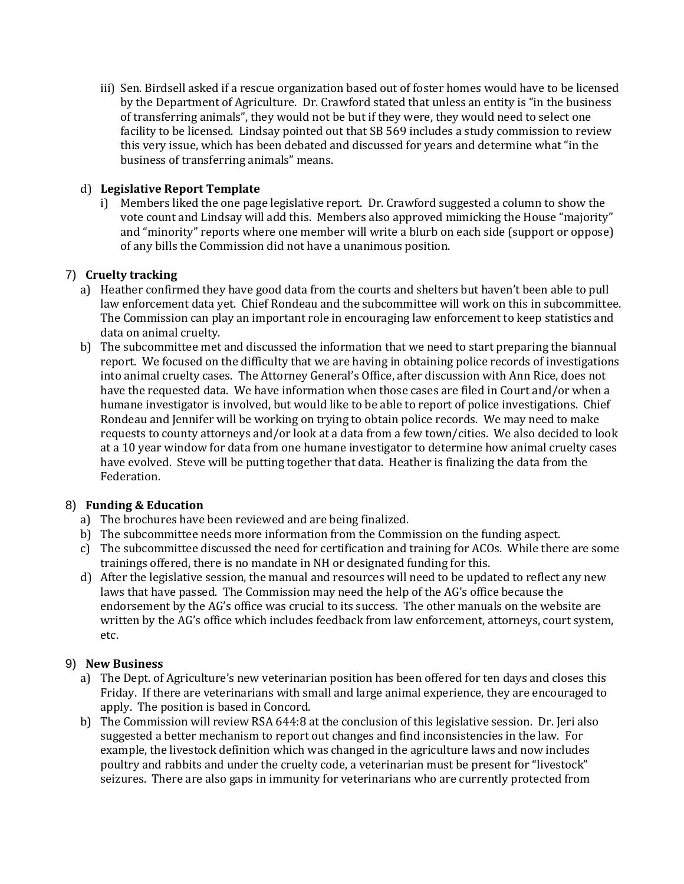iii) Sen. Birdsell asked if a rescue organization based out of foster homes would have to be licensed by the Department of Agriculture. Dr. Crawford stated that unless an entity is "in the business of transferring animals", they would not be but if they were, they would need to select one facility to be licensed. Lindsay pointed out that SB 569 includes a study commission to review this very issue, which has been debated and discussed for years and determine what "in the business of transferring animals" means.

## d) **Legislative Report Template**

i) Members liked the one page legislative report. Dr. Crawford suggested a column to show the vote count and Lindsay will add this. Members also approved mimicking the House "majority" and "minority" reports where one member will write a blurb on each side (support or oppose) of any bills the Commission did not have a unanimous position.

## 7) **Cruelty tracking**

- a) Heather confirmed they have good data from the courts and shelters but haven't been able to pull law enforcement data yet. Chief Rondeau and the subcommittee will work on this in subcommittee. The Commission can play an important role in encouraging law enforcement to keep statistics and data on animal cruelty.
- b) The subcommittee met and discussed the information that we need to start preparing the biannual report. We focused on the difficulty that we are having in obtaining police records of investigations into animal cruelty cases. The Attorney General's Office, after discussion with Ann Rice, does not have the requested data. We have information when those cases are filed in Court and/or when a humane investigator is involved, but would like to be able to report of police investigations. Chief Rondeau and Jennifer will be working on trying to obtain police records. We may need to make requests to county attorneys and/or look at a data from a few town/cities. We also decided to look at a 10 year window for data from one humane investigator to determine how animal cruelty cases have evolved. Steve will be putting together that data. Heather is finalizing the data from the Federation.

## 8) **Funding & Education**

- a) The brochures have been reviewed and are being finalized.
- b) The subcommittee needs more information from the Commission on the funding aspect.
- c) The subcommittee discussed the need for certification and training for ACOs. While there are some trainings offered, there is no mandate in NH or designated funding for this.
- d) After the legislative session, the manual and resources will need to be updated to reflect any new laws that have passed. The Commission may need the help of the AG's office because the endorsement by the AG's office was crucial to its success. The other manuals on the website are written by the AG's office which includes feedback from law enforcement, attorneys, court system, etc.

## 9) **New Business**

- a) The Dept. of Agriculture's new veterinarian position has been offered for ten days and closes this Friday. If there are veterinarians with small and large animal experience, they are encouraged to apply. The position is based in Concord.
- b) The Commission will review RSA 644:8 at the conclusion of this legislative session. Dr. Jeri also suggested a better mechanism to report out changes and find inconsistencies in the law. For example, the livestock definition which was changed in the agriculture laws and now includes poultry and rabbits and under the cruelty code, a veterinarian must be present for "livestock" seizures. There are also gaps in immunity for veterinarians who are currently protected from